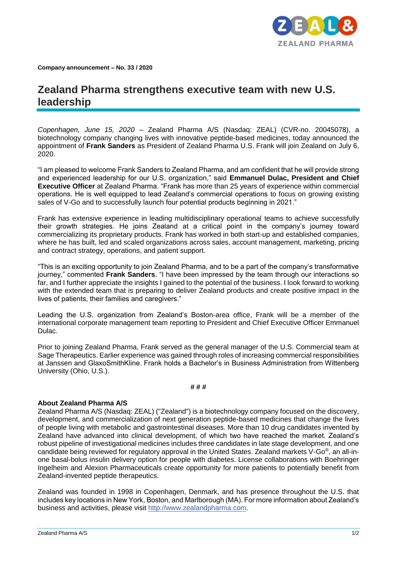

**Company announcement – No. 33 / 2020**

## **Zealand Pharma strengthens executive team with new U.S. leadership**

*Copenhagen, June 15, 2020 –* Zealand Pharma A/S (Nasdaq: ZEAL) (CVR-no. 20045078), a biotechnology company changing lives with innovative peptide-based medicines, today announced the appointment of **Frank Sanders** as President of Zealand Pharma U.S. Frank will join Zealand on July 6, 2020.

"I am pleased to welcome Frank Sanders to Zealand Pharma, and am confident that he will provide strong and experienced leadership for our U.S. organization," said **Emmanuel Dulac, President and Chief Executive Officer** at Zealand Pharma. "Frank has more than 25 years of experience within commercial operations. He is well equipped to lead Zealand's commercial operations to focus on growing existing sales of V-Go and to successfully launch four potential products beginning in 2021."

Frank has extensive experience in leading multidisciplinary operational teams to achieve successfully their growth strategies. He joins Zealand at a critical point in the company's journey toward commercializing its proprietary products. Frank has worked in both start-up and established companies, where he has built, led and scaled organizations across sales, account management, marketing, pricing and contract strategy, operations, and patient support.

"This is an exciting opportunity to join Zealand Pharma, and to be a part of the company's transformative journey," commented **Frank Sanders**. "I have been impressed by the team through our interactions so far, and I further appreciate the insights I gained to the potential of the business. I look forward to working with the extended team that is preparing to deliver Zealand products and create positive impact in the lives of patients, their families and caregivers."

Leading the U.S. organization from Zealand's Boston-area office, Frank will be a member of the international corporate management team reporting to President and Chief Executive Officer Emmanuel Dulac.

Prior to joining Zealand Pharma, Frank served as the general manager of the U.S. Commercial team at Sage Therapeutics. Earlier experience was gained through roles of increasing commercial responsibilities at Janssen and GlaxoSmithKline. Frank holds a Bachelor's in Business Administration from Wittenberg University (Ohio, U.S.).

## **# # #**

## **About Zealand Pharma A/S**

Zealand Pharma A/S (Nasdaq: ZEAL) ("Zealand") is a biotechnology company focused on the discovery, development, and commercialization of next generation peptide-based medicines that change the lives of people living with metabolic and gastrointestinal diseases. More than 10 drug candidates invented by Zealand have advanced into clinical development, of which two have reached the market. Zealand's robust pipeline of investigational medicines includes three candidates in late stage development, and one candidate being reviewed for regulatory approval in the United States. Zealand markets V-Go®, an all-inone basal-bolus insulin delivery option for people with diabetes. License collaborations with Boehringer Ingelheim and Alexion Pharmaceuticals create opportunity for more patients to potentially benefit from Zealand-invented peptide therapeutics.

Zealand was founded in 1998 in Copenhagen, Denmark, and has presence throughout the U.S. that includes key locations in New York, Boston, and Marlborough (MA). For more information about Zealand's business and activities, please visit [http://www.zealandpharma.com.](http://www.zealandpharma.com/)